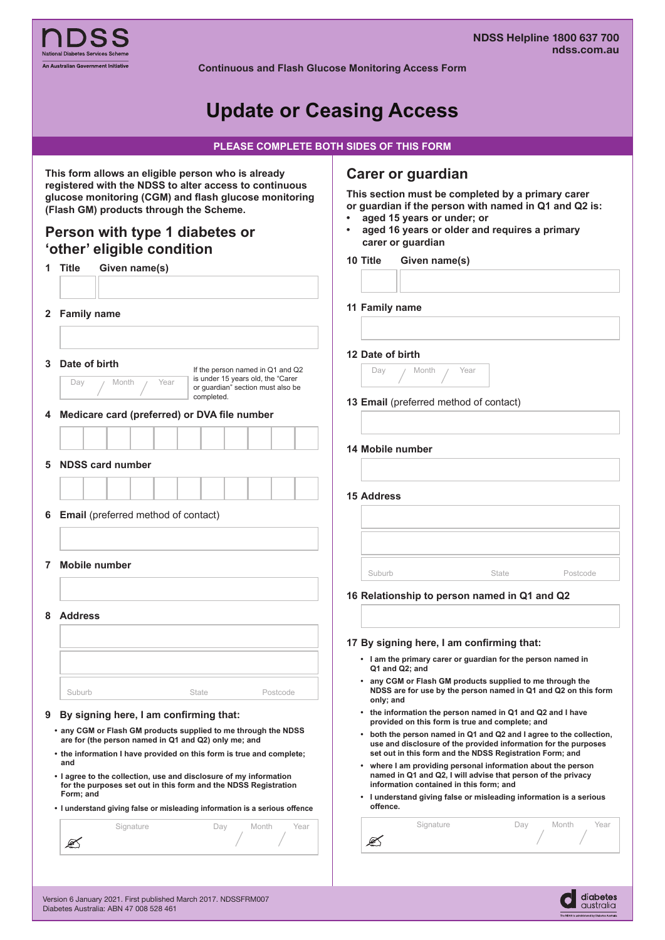

**Continuous and Flash Glucose Monitoring Access Form** 

# **Update or Ceasing Access**

| PLEASE COMPLETE BOTH SIDES OF THIS FORM |  |
|-----------------------------------------|--|
|                                         |  |
|                                         |  |

| 1 Title | Person with type 1 diabetes or                                                                                                                                    | $\bullet$ | Carer or guardian<br>This section must be completed by a primary carer<br>or guardian if the person with named in Q1 and Q2 is:<br>aged 15 years or under; or |                                                 |                                                                                                                              |                                                                     |  |
|---------|-------------------------------------------------------------------------------------------------------------------------------------------------------------------|-----------|---------------------------------------------------------------------------------------------------------------------------------------------------------------|-------------------------------------------------|------------------------------------------------------------------------------------------------------------------------------|---------------------------------------------------------------------|--|
|         | 'other' eligible condition                                                                                                                                        | $\bullet$ |                                                                                                                                                               | carer or guardian                               | aged 16 years or older and requires a primary                                                                                |                                                                     |  |
|         | Given name(s)                                                                                                                                                     | 10 Title  |                                                                                                                                                               | Given name(s)                                   |                                                                                                                              |                                                                     |  |
|         |                                                                                                                                                                   |           |                                                                                                                                                               |                                                 |                                                                                                                              |                                                                     |  |
|         | 2 Family name                                                                                                                                                     |           | 11 Family name                                                                                                                                                |                                                 |                                                                                                                              |                                                                     |  |
|         |                                                                                                                                                                   |           |                                                                                                                                                               |                                                 |                                                                                                                              |                                                                     |  |
| 3       | Date of birth<br>If the person named in Q1 and Q2<br>is under 15 years old, the "Carer<br>Year<br>Day<br>Month<br>or guardian" section must also be<br>completed. |           | 12 Date of birth<br>Day                                                                                                                                       | Month<br>13 Email (preferred method of contact) | Year                                                                                                                         |                                                                     |  |
|         | 4 Medicare card (preferred) or DVA file number                                                                                                                    |           |                                                                                                                                                               |                                                 |                                                                                                                              |                                                                     |  |
|         |                                                                                                                                                                   |           |                                                                                                                                                               | 14 Mobile number                                |                                                                                                                              |                                                                     |  |
| 5       | <b>NDSS card number</b>                                                                                                                                           |           |                                                                                                                                                               |                                                 |                                                                                                                              |                                                                     |  |
|         |                                                                                                                                                                   |           |                                                                                                                                                               |                                                 |                                                                                                                              |                                                                     |  |
|         |                                                                                                                                                                   |           | <b>15 Address</b>                                                                                                                                             |                                                 |                                                                                                                              |                                                                     |  |
|         | 6 Email (preferred method of contact)                                                                                                                             |           |                                                                                                                                                               |                                                 |                                                                                                                              |                                                                     |  |
|         |                                                                                                                                                                   |           |                                                                                                                                                               |                                                 |                                                                                                                              |                                                                     |  |
|         |                                                                                                                                                                   |           |                                                                                                                                                               |                                                 |                                                                                                                              |                                                                     |  |
|         | 7 Mobile number                                                                                                                                                   |           | Suburb                                                                                                                                                        |                                                 | State                                                                                                                        | Postcode                                                            |  |
|         |                                                                                                                                                                   |           |                                                                                                                                                               |                                                 | 16 Relationship to person named in Q1 and Q2                                                                                 |                                                                     |  |
|         | 8 Address                                                                                                                                                         |           |                                                                                                                                                               |                                                 |                                                                                                                              |                                                                     |  |
|         |                                                                                                                                                                   |           |                                                                                                                                                               |                                                 |                                                                                                                              |                                                                     |  |
|         |                                                                                                                                                                   |           |                                                                                                                                                               |                                                 | 17 By signing here, I am confirming that:                                                                                    |                                                                     |  |
|         |                                                                                                                                                                   |           |                                                                                                                                                               | Q1 and Q2; and                                  | • I am the primary carer or guardian for the person named in                                                                 |                                                                     |  |
|         | Suburb<br>State<br>Postcode                                                                                                                                       |           | only; and                                                                                                                                                     |                                                 | • any CGM or Flash GM products supplied to me through the                                                                    | NDSS are for use by the person named in Q1 and Q2 on this form      |  |
| 9       | By signing here, I am confirming that:                                                                                                                            |           |                                                                                                                                                               |                                                 | • the information the person named in Q1 and Q2 and I have<br>provided on this form is true and complete; and                |                                                                     |  |
|         | • any CGM or Flash GM products supplied to me through the NDSS<br>are for (the person named in Q1 and Q2) only me; and                                            |           |                                                                                                                                                               |                                                 | use and disclosure of the provided information for the purposes                                                              | • both the person named in Q1 and Q2 and I agree to the collection, |  |
| and     | • the information I have provided on this form is true and complete;                                                                                              |           |                                                                                                                                                               |                                                 | set out in this form and the NDSS Registration Form; and                                                                     |                                                                     |  |
|         | . I agree to the collection, use and disclosure of my information<br>for the purposes set out in this form and the NDSS Registration                              |           |                                                                                                                                                               | information contained in this form; and         | • where I am providing personal information about the person<br>named in Q1 and Q2, I will advise that person of the privacy |                                                                     |  |
|         | Form; and<br>• I understand giving false or misleading information is a serious offence                                                                           |           | offence.                                                                                                                                                      |                                                 | • I understand giving false or misleading information is a serious                                                           |                                                                     |  |
|         | Signature<br>Day<br>Month<br>Year                                                                                                                                 |           |                                                                                                                                                               | Signature                                       | Day                                                                                                                          | Month<br>Year                                                       |  |
|         | ✍                                                                                                                                                                 |           | S                                                                                                                                                             |                                                 |                                                                                                                              |                                                                     |  |

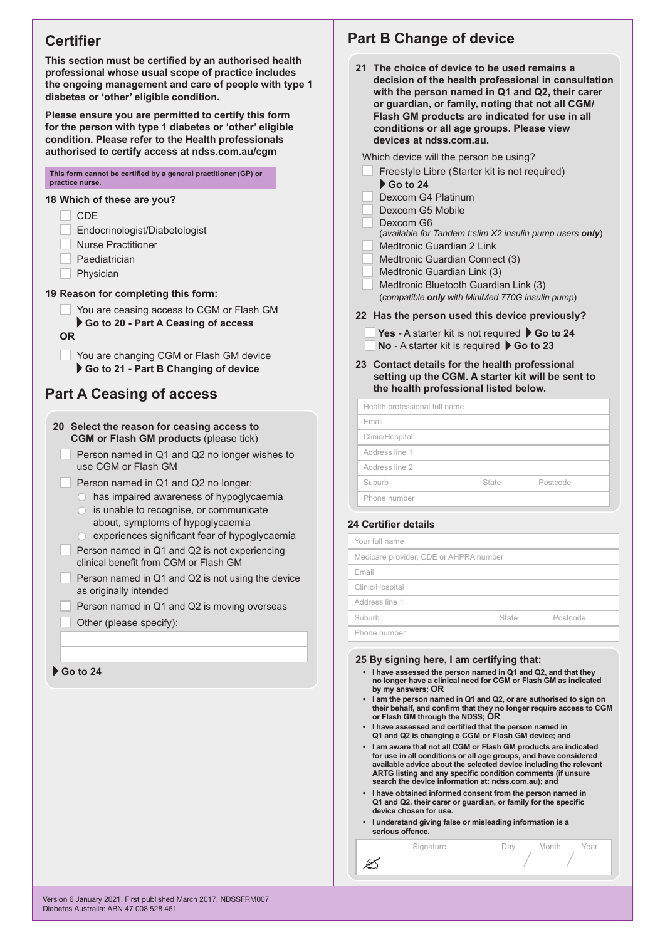# **Certifier**

**This section must be certified by an authorised health professional whose usual scope of practice includes the ongoing management and care of people with type 1 diabetes or 'other' eligible condition.** 

**Please ensure you are permitted to certify this form for the person with type 1 diabetes or 'other' eligible condition. Please refer to the Health professionals authorised to certify access at ndss.com.au/cgm**

#### **This form cannot be certified by a general practitioner (GP) or practice nurse.**

#### **18 Which of these are you?**

- CDE
- Endocrinologist/Diabetologist
- Nurse Practitioner
- Paediatrician
- Physician

#### **19 Reason for completing this form:**

- You are ceasing access to CGM or Flash GM **Go to 20 - Part A Ceasing of access**
- **OR**
	- You are changing CGM or Flash GM device **Go to 21 - Part B Changing of device**

### **Part A Ceasing of access**

- **20 Select the reason for ceasing access to CGM or Flash GM products** (please tick)
	- Person named in Q1 and Q2 no longer wishes to use CGM or Flash GM
	- Person named in Q1 and Q2 no longer:
		- has impaired awareness of hypoglycaemia
		- is unable to recognise, or communicate about, symptoms of hypoglycaemia
		- experiences significant fear of hypoglycaemia
	- Person named in Q1 and Q2 is not experiencing clinical benefit from CGM or Flash GM
	- Person named in Q1 and Q2 is not using the device as originally intended
	- Person named in Q1 and Q2 is moving overseas
	- Other (please specify):

### **Go to 24**

# **Part B Change of device**

**21 The choice of device to be used remains a decision of the health professional in consultation with the person named in Q1 and Q2, their carer or guardian, or family, noting that not all CGM/ Flash GM products are indicated for use in all conditions or all age groups. Please view devices at ndss.com.au.** 

Which device will the person be using?

- Freestyle Libre (Starter kit is not required) **Go to 24**
- Dexcom G4 Platinum
- Dexcom G5 Mobile
- Dexcom G6
- (*available for Tandem t:slim X2 insulin pump users only*)
- Medtronic Guardian 2 Link
- Medtronic Guardian Connect (3)
- Medtronic Guardian Link (3)
- Medtronic Bluetooth Guardian Link (3) (*compatible only with MiniMed 770G insulin pump*)

### **22 Has the person used this device previously?**

- Yes A starter kit is not required **Go to 24**
- **No** A starter kit is required ▶ Go to 23
- **23 Contact details for the health professional setting up the CGM. A starter kit will be sent to the health professional listed below.**

Health professional full name

| Email           |       |          |
|-----------------|-------|----------|
| Clinic/Hospital |       |          |
| Address line 1  |       |          |
| Address line 2  |       |          |
| Suburb          | State | Postcode |
| Phone number    |       |          |

#### **24 Certifier details**

ØŚ

| Your full name                         |       |          |
|----------------------------------------|-------|----------|
| Medicare provider, CDE or AHPRA number |       |          |
| Email                                  |       |          |
| Clinic/Hospital                        |       |          |
| Address line 1                         |       |          |
| Suburb                                 | State | Postcode |
| Phone number                           |       |          |

#### **25 By signing here, I am certifying that:**

- **• I have assessed the person named in Q1 and Q2, and that they no longer have a clinical need for CGM or Flash GM as indicated by my answers; OR**
- **• I am the person named in Q1 and Q2, or are authorised to sign on their behalf, and confirm that they no longer require access to CGM or Flash GM through the NDSS; OR**
- **• I have assessed and certified that the person named in Q1 and Q2 is changing a CGM or Flash GM device; and**
- **• I am aware that not all CGM or Flash GM products are indicated for use in all conditions or all age groups, and have considered available advice about the selected device including the relevant ARTG listing and any specific condition comments (if unsure search the device information at: ndss.com.au); and**

Signature **Day** Month Year

- **• I have obtained informed consent from the person named in Q1 and Q2, their carer or guardian, or family for the specific device chosen for use.**
- **• I understand giving false or misleading information is a serious offence.**